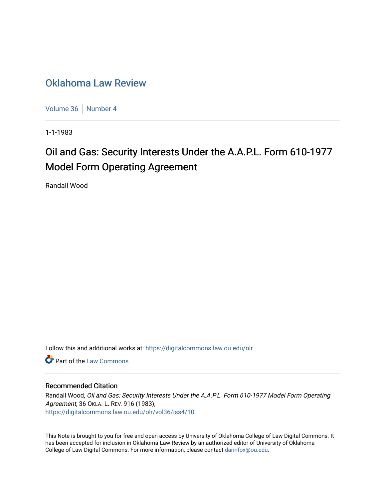## [Oklahoma Law Review](https://digitalcommons.law.ou.edu/olr)

[Volume 36](https://digitalcommons.law.ou.edu/olr/vol36) | [Number 4](https://digitalcommons.law.ou.edu/olr/vol36/iss4)

1-1-1983

# Oil and Gas: Security Interests Under the A.A.P.L. Form 610-1977 Model Form Operating Agreement

Randall Wood

Follow this and additional works at: [https://digitalcommons.law.ou.edu/olr](https://digitalcommons.law.ou.edu/olr?utm_source=digitalcommons.law.ou.edu%2Folr%2Fvol36%2Fiss4%2F10&utm_medium=PDF&utm_campaign=PDFCoverPages)

**C** Part of the [Law Commons](http://network.bepress.com/hgg/discipline/578?utm_source=digitalcommons.law.ou.edu%2Folr%2Fvol36%2Fiss4%2F10&utm_medium=PDF&utm_campaign=PDFCoverPages)

### Recommended Citation

Randall Wood, Oil and Gas: Security Interests Under the A.A.P.L. Form 610-1977 Model Form Operating Agreement, 36 OKLA. L. REV. 916 (1983), [https://digitalcommons.law.ou.edu/olr/vol36/iss4/10](https://digitalcommons.law.ou.edu/olr/vol36/iss4/10?utm_source=digitalcommons.law.ou.edu%2Folr%2Fvol36%2Fiss4%2F10&utm_medium=PDF&utm_campaign=PDFCoverPages) 

This Note is brought to you for free and open access by University of Oklahoma College of Law Digital Commons. It has been accepted for inclusion in Oklahoma Law Review by an authorized editor of University of Oklahoma College of Law Digital Commons. For more information, please contact [darinfox@ou.edu.](mailto:darinfox@ou.edu)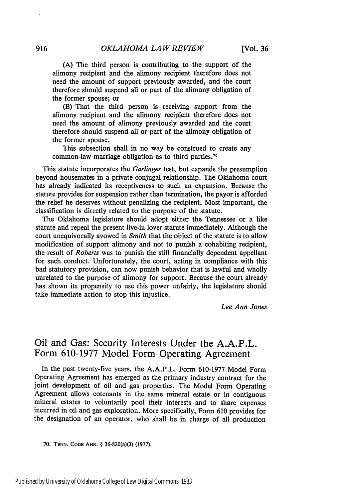(A) The third person is contributing to the support of the alimony recipient and the alimony recipient therefore does not need the amount of support previously awarded, and the court therefore should suspend all or part of the alimony obligation of the former spouse; or

(B) That the third person is receiving support from the alimony recipient and the alimony recipient therefore does not need the amount of alimony previously awarded and the court therefore should suspend all or part of the alimony obligation of the former spouse.

This subsection shall in no way be construed to create any common-law marriage obligation as to third parties.<sup>70</sup>

This statute incorporates the *Garlinger* test, but expands the presumption beyond housemates in a private conjugal relationship. The Oklahoma court has already indicated its receptiveness to such an expansion. Because the statute provides for suspension rather than termination, the payor is afforded the relief he deserves without penalizing the recipient. Most important, the classification is directly related to the purpose of the statute.

The Oklahoma legislature should adopt either the Tennessee or a like statute and repeal the present live-in lover statute immediately. Although the court unequivocally avowed in *Smith* that the object of the statute is to allow modification of support alimony and not to punish a cohabiting recipient, the result of *Roberts* was to punish the still financially dependent appellant for such conduct. Unfortunately, the court, acting in compliance with this bad statutory provision, can now punish behavior that is lawful and wholly unrelated to the purpose of alimony for support. Because the court already has shown its propensity to use this power unfairly, the legislature should take immediate action to stop this injustice.

*Lee Ann Jones*

## Oil and Gas: Security Interests Under the **A.A.P.L.** Form **610-1977** Model Form Operating Agreement

In the past twenty-five years, the **A.A.P.L.** Form **610-1977** Model Form Operating Agreement has emerged as the primary industry contract for the joint development of oil and gas properties. The Model Form Operating Agreement allows cotenants in the same mineral estate or in contiguous mineral estates to voluntarily pool their interests and to share expenses incurred in oil and gas exploration. More specifically, Form **610** provides for the designation of an operator, who shall be in charge of all production

**<sup>70.</sup> TENN. CODE ANN.** § 36-820(a)(3) (1977).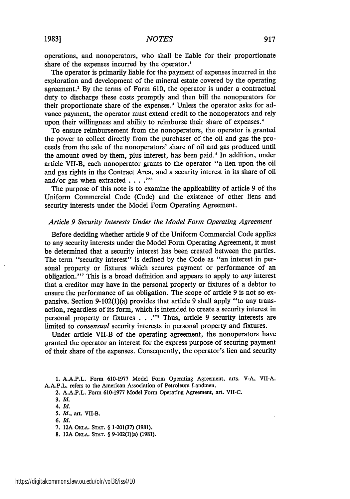**19831**

operations, and nonoperators, who shall be liable for their proportionate share of the expenses incurred by the operator.'

The operator is primarily liable for the payment of expenses incurred in the exploration and development of the mineral estate covered by the operating agreement.<sup>2</sup> By the terms of Form 610, the operator is under a contractual duty to discharge these costs promptly and then bill the nonoperators for their proportionate share of the expenses.<sup>3</sup> Unless the operator asks for advance payment, the operator must extend credit to the nonoperators and rely upon their willingness and ability to reimburse their share of expenses.<sup>4</sup>

To ensure reimbursement from the nonoperators, the operator is granted the power to collect directly from the purchaser of the oil and gas the proceeds from the sale of the nonoperators' share of oil and gas produced until the amount owed by them, plus interest, has been paid.' In addition, under article VII-B, each nonoperator grants to the operator "a lien upon the oil and gas rights in the Contract Area, and a security interest in its share of oil and/or gas when extracted **.... "'**

The purpose of this note is to examine the applicability of article 9 of the Uniform Commercial Code (Code) and the existence of other liens and security interests under the Model Form Operating Agreement.

#### *Article 9 Security Interests Under the Model Form Operating Agreement*

Before deciding whether article 9 of the Uniform Commercial Code applies to any security interests under the Model Form Operating Agreement, it must be determined that a security interest has been created between the parties. The term "security interest" is defined by the Code as "an interest in personal property or fixtures which secures payment or performance of an obligation."<sup>7</sup> This is a broad definition and appears to apply to *any* interest that a creditor may have in the personal property or fixtures of a debtor to ensure the performance of an obligation. The scope of article 9 is not so expansive. Section 9-102(1)(a) provides that article 9 shall apply "to any transaction, regardless of its form, which is intended to create a security interest in personal property or fixtures **. . ."s** Thus, article 9 security interests are limited to *consensual* security interests in personal property and fixtures.

Under article VII-B of the operating agreement, the nonoperators have granted the operator an interest for the express purpose of securing payment of their share of the expenses. Consequently, the operator's lien and security

**1. A.A.P.L.** Form 610-1977 Model Form Operating Agreement, arts. V-A, VII-A. A.A.P.L. refers to the American Association of Petroleum Landmen.

2. A.A.P.L. Form 610-1977 Model Form Operating Agreement, art. VII-C.

*<sup>3.</sup> Id.*

*<sup>4.</sup> Id.*

*<sup>5.</sup> Id.,* art. VII-B.

*<sup>6.</sup> Id.*

<sup>7. 12</sup>A OKLA. **STAT.** § 1-201(37) (1981).

**<sup>8.</sup>** 12A OKLA. **STAT.** § 9-102(l)(a) (1981).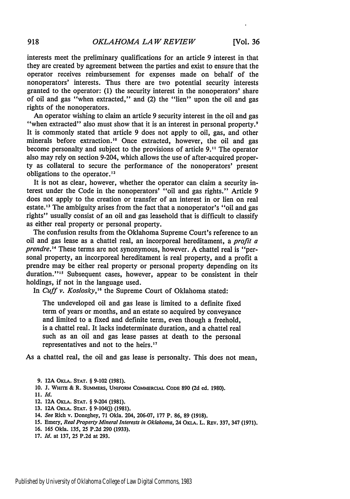interests meet the preliminary qualifications for an article 9 interest in that they are created by agreement between the parties and exist to ensure that the operator receives reimbursement for expenses made on behalf of the nonoperators' interests. Thus there are two potential security interests granted to the operator: (1) the security interest in the nonoperators' share of oil and gas "when extracted," and (2) the "lien" upon the oil and gas rights of the nonoperators.

An operator wishing to claim an article 9 security interest in the oil and gas "when extracted" also must show that it is an interest in personal property. It is commonly stated that article 9 does not apply to oil, gas, and other minerals before extraction.'0 Once extracted, however, the oil and gas become personalty and subject to the provisions of article 9."1 The operator also may rely on section 9-204, which allows the use of after-acquired property as collateral to secure the performance of the nonoperators' present obligations to the operator.<sup>12</sup>

It is not as clear, however, whether the operator can claim a security interest under the Code in the nonoperators' "oil and gas rights." Article 9 does not apply to the creation or transfer of an interest in or lien on real estate.<sup>13</sup> The ambiguity arises from the fact that a nonoperator's "oil and gas rights" usually consist of an oil and gas leasehold that is difficult to classify as either real property or personal property.

The confusion results from the Oklahoma Supreme Court's reference to an oil and gas lease as a chattel real, an incorporeal hereditament, a *profit a prendre."'* These terms are not synonymous, however. A chattel real is "personal property, an incorporeal hereditament is real property, and a profit a prendre may be either real property or personal property depending on its duration."<sup>15</sup> Subsequent cases, however, appear to be consistent in their holdings, if not in the language used.

In *Cuff v. Koslosky*,<sup>16</sup> the Supreme Court of Oklahoma stated:

The undeveloped oil and gas lease is limited to a definite fixed term of years or months, and an estate so acquired by conveyance and limited to a fixed and definite term, even though a freehold, is a chattel real. It lacks indeterminate duration, and a chattel real such as an oil and gas lease passes at death to the personal representatives and not to the heirs.<sup>17</sup>

As a chattel real, the oil and gas lease is personalty. This does not mean,

- **10. J. WHITE** & **R. SUMMERS, UNIFORM COMMERCIAL CODE 890 (2d** ed. **1980).**
- **11.** *Id.*
- 12. **12A OKLA. STAT.** § 9-204 **(1981).**
- 13. 12A OKLA. STAT. § 9-104(j) (1981).
- 14. *See* Rich v. Doneghey, **71** Okla. 204, **206-07, 177** P. **86, 89 (1918).**
- *15.* Emery, *Real Property Mineral* Interests in Oklahoma, 24 **OKLA.** L. REv. **337,** 347 **(1971).**
- **16. 165** Okla. **135, 25 P.2d 290 (1933).**
- **17.** *Id.* at **137, 25 P.2d** at **293.**

**<sup>9. 12</sup>A** OKLA. **STAT.** § **9-102 (1981).**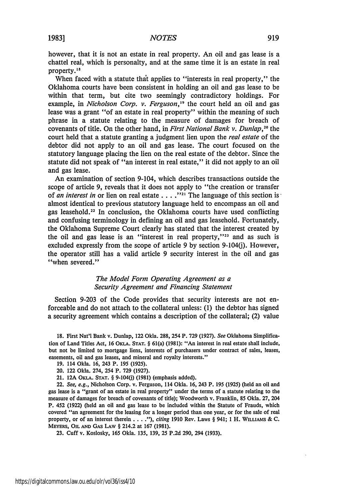**19831**

however, that it is not an estate in real property. An oil and gas lease is a chattel real, which is personalty, and at the same time it is an estate in real property.<sup>18</sup>

When faced with a statute that applies to "interests in real property," the Oklahoma courts have been consistent in holding an oil and gas lease to be within that term, but cite two seemingly contradictory holdings. For example, in *Nicholson Corp. v. Ferguson*,<sup>19</sup> the court held an oil and gas lease was a grant "of an estate in real property" within the meaning of such phrase in a statute relating to the measure of damages for breach of covenants of title. On the other hand, in *First National Bank v. Dunlap*,<sup>20</sup> the court held that a statute granting a judgment lien upon the *real* estate of the debtor did not apply to an oil and gas lease. The court focused on the statutory language placing the lien on the real estate of the debtor. Since the statute did not speak of "an interest in real estate," it did not apply to an oil and gas lease.

An examination of section 9-104, which describes transactions outside the scope of article 9, reveals that it does not apply to "the creation or transfer of *an interest in* or lien on real estate  $\ldots$  ."<sup>21</sup> The language of this section is almost identical to previous statutory language held to encompass an oil and gas leasehold.<sup>22</sup> In conclusion, the Oklahoma courts have used conflicting and confusing terminology in defining an oil and gas leasehold. Fortunately, the Oklahoma Supreme Court clearly has stated that the interest created by the oil and gas lease is an "interest in real property," $23$  and as such is excluded expressly from the scope of article 9 by section  $9-104(i)$ . However, the operator still has a valid article 9 security interest in the oil and gas "when severed."

#### *The Model Form Operating Agreement as a Security Agreement and Financing Statement*

Section 9-203 of the Code provides that security interests are not enforceable and do not attach to the collateral unless: (1) the debtor has signed a security agreement which contains a description of the collateral; (2) value

**18.** First Nat'l Bank v. Dunlap, 122 Okla. 288, 254 P. **729 (1927).** *See* Oklahoma Simplification of Land Titles Act, 16 OKLA. **STAT.** § 61(a) (1981): "An interest in real estate shall include, but not be limited to mortgage liens, interests of purchasers under contract of sales, leases, easements, oil and gas leases, and mineral and royalty interests."

- 19. 114 Okla. 16, 243 P. 195 (1925).
- 20. 122 Okla. 274, 254 P. 729 (1927).
- 21. 12A OKLA. **STAT.** § 9-104(j) (1981) (emphasis added).

22. *See, e.g.,* Nicholson Corp. v. Ferguson, 114 Okla. 16, 243 P. 195 (1925) (held an oil and gas lease is a "grant of an estate in real property" under the terms of a statute relating to the measure of damages for breach of covenants of title); Woodworth v. Franklin, 85 Okla. 27, 204 P. 452 (1922) (held an oil and gas lease to be included within the Statute of Frauds, which covered "an agreement for the leasing for a longer period than one year, or for the sale of real property, or of an interest therein . **. .** ."), *citing* 1910 Rev. Laws § 941; **1** H. **WILIAMS** & C. **MEYERS,** OIL **AND** GAS LAW § 214.2 at 167 (1981).

**23.** Cuff v. Koslosky, 165 Okla. 135, 139, 25 P.2d 290, 294 (1933).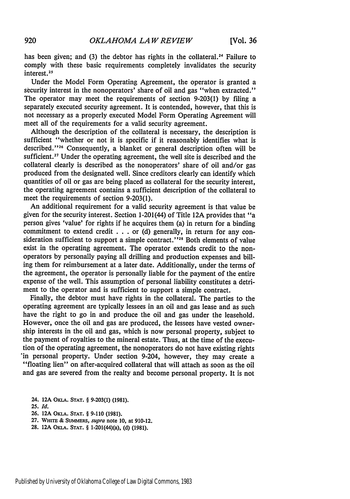has been given; and (3) the debtor has rights in the collateral.<sup>24</sup> Failure to comply with these basic requirements completely invalidates the security interest.<sup>25</sup>

Under the Model Form Operating Agreement, the operator is granted a security interest in the nonoperators' share of oil and gas "when extracted." The operator may meet the requirements of section 9-203(1) by filing a separately executed security agreement. It is contended, however, that this is not necessary as a properly executed Model Form Operating Agreement will meet all of the requirements for a valid security agreement.

Although the description of the collateral is necessary, the description is sufficient "whether or not it is specific if it reasonably identifies what is described."<sup>26</sup> Consequently, a blanket or general description often will be sufficient.<sup>27</sup> Under the operating agreement, the well site is described and the collateral clearly is described as the nonoperators' share of oil and/or gas produced from the designated well. Since creditors clearly can identify which quantities of oil or gas are being placed as collateral for the security interest, the operating agreement contains a sufficient description of the collateral to meet the requirements of section 9-203(1).

An additional requirement for a valid security agreement is that value be given for the security interest. Section 1-201(44) of Title 12A provides that "a person gives 'value' for rights if he acquires them (a) in return for a binding commitment to extend credit . . . or (d) generally, in return for any consideration sufficient to support a simple contract."<sup>28</sup> Both elements of value exist in the operating agreement. The operator extends credit to the nonoperators by personally paying all drilling and production expenses and billing them for reimbursement at a later date. Additionally, under the terms of the agreement, the operator is personally liable for the payment of the entire expense of the well. This assumption of personal liability constitutes a detriment to the operator and is sufficient to support a simple contract.

Finally, the debtor must have rights in the collateral. The parties to the operating agreement are typically lessees in an oil and gas lease and as such have the right to go in and produce the oil and gas under the leasehold. However, once the oil and gas are produced, the lessees have vested ownership interests in the oil and gas, which is now personal property, subject to the payment of royalties to the mineral estate. Thus, at the time of the execution of the operating agreement, the nonoperators do not have existing rights 'in personal property. Under section 9-204, however, they may create a "floating lien" on after-acquired collateral that will attach as soon as the oil and gas are severed from the realty and become personal property. It is not

**24. 12A** OKLA. **STAT.** § **9-203(1) (1981).**

- **26. 12A** OKLA. **STAT.** § **9-110 (1981).**
- **27. WHITE & SUMMERS,** *supra* note **10,** at **910-12.**
- 28. **12A OKLA. STAT.** § 1-201(44)(a), **(d) (1981).**

<sup>25.</sup> *Id.*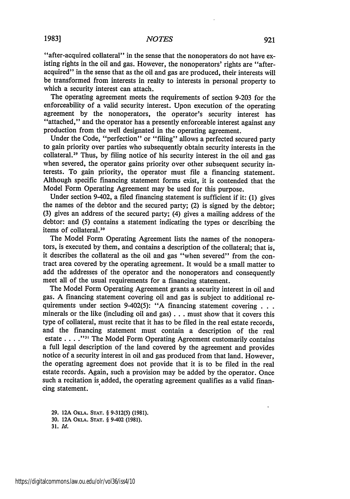"after-acquired collateral" in the sense that the nonoperators do not have existing rights in the oil and gas. However, the nonoperators' rights are "afteracquired" in the sense that as the oil and gas are produced, their interests will be transformed from interests in realty to interests in personal property to which a security interest can attach.

The operating agreement meets the requirements of section 9-203 for the enforceability of a valid security interest. Upon execution of the operating agreement by the nonoperators, the operator's security interest has "attached," and the operator has a presently enforceable interest against any production from the well designated in the operating agreement.

Under the Code, "perfection" or "filing" allows a perfected secured party to gain priority over parties who subsequently obtain security interests in the collateral.<sup>29</sup> Thus, by filing notice of his security interest in the oil and gas when severed, the operator gains priority over other subsequent security interests. To gain priority, the operator must file a financing statement. Although specific financing statement forms exist, it is contended that the Model Form Operating Agreement may be used for this purpose.

Under section 9-402, a filed financing statement is sufficient if it: (1) gives the names of the debtor and the secured party; (2) is signed by the debtor; (3) gives an address of the secured party; (4) gives a mailing address of the debtor: and (5) contains a statement indicating the types or describing the  $\frac{1}{2}$  items of collateral.<sup>30</sup>

The Model Form Operating Agreement lists the names of the nonoperators, is executed by them, and contains a description of the collateral; that is, it describes the collateral as the oil and gas "when severed" from the contract area covered by the operating agreement. It would be a small matter to add the addresses of the operator and the nonoperators and consequently meet all of the usual requirements for a financing statement.

The Model Form Operating Agreement grants a security interest in oil and gas. A financing statement covering oil and gas is subject to additional requirements under section 9-402(5): "A financing statement covering . **. .** minerals or the like (including oil and gas) **...** must show that it covers this type of collateral, must recite that it has to be filed in the real estate records, and the financing statement must contain a description of the real estate .... "3' The Model Form Operating Agreement customarily contains a full legal description of the land covered by the agreement and provides notice of a security interest in oil and gas produced from that land. However, the operating agreement does not provide that it is to be filed in the real estate records. Again, such a provision may be added by the operator. Once such a recitation is added, the operating agreement qualifies as a valid financing statement.

**29. 12A OKLA. STAT.** § **9-312(5) (1981). 30. 12A OKLA. STAT.** § **9-402 (1981). 31.** *Id.*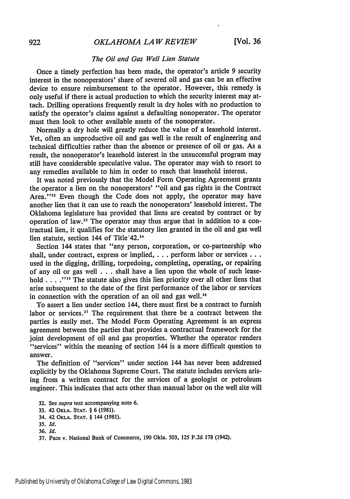#### *The* Oil and Gas Well Lien Statute

Once a timely perfection has been made, the operator's article 9 security interest in the nonoperators' share of severed oil and gas can be an effective device to ensure reimbursement to the operator. However, this remedy is only useful if there is actual production to which the security interest may attach. Drilling operations frequently result in dry holes with no production to satisfy the operator's claims against a defaulting nonoperator. The operator must then look to other available assets of the nonoperator.

Normally a dry hole will greatly reduce the value of a leasehold interest. Yet, often an unproductive oil and gas well is the result of engineering and technical difficulties rather than the absence or presence of oil or gas. As a result, the nonoperator's leasehold interest in the unsuccessful program may still have considerable speculative value. The operator may wish to resort to any remedies available to him in order to reach that leasehold interest.

It was noted previously that the Model Form Operating Agreement grants the operator a lien on the nonoperators' "oil and gas rights in the Contract Area."<sup>32</sup> Even though the Code does not apply, the operator may have another lien that it can use to reach the nonoperators' leasehold interest. The Oklahoma legislature has provided that liens are created by contract or by operation of law.<sup>33</sup> The operator may thus argue that in addition to a contractual lien, it qualifies for the statutory lien granted in the oil and gas well lien statute, section 144 of Title 42.<sup>34</sup>

Section 144 states that "any person, corporation, or co-partnership who shall, under contract, express or implied, . . . perform labor or services . . . used in the digging, drilling, torpedoing, completing, operating, or repairing of any oil or gas well . . . shall have a lien upon the whole of such leasehold . . . . <sup>"35</sup> The statute also gives this lien priority over all other liens that arise subsequent to the date of the first performance of the labor or services in connection with the operation of an oil and gas well.<sup>36</sup>

To assert a lien under section 144, there must first be a contract to furnish labor or services.<sup>37</sup> The requirement that there be a contract between the parties is easily met. The Model Form Operating Agreement is an express agreement between the parties that provides a contractual framework for the joint development of oil and gas properties. Whether the operator renders "services" within the meaning of section 144 is a more difficult question to answer.

The definition of "services" under section 144 has never been addressed explicitly by the Oklahoma Supreme Court. The statute includes services arising from a written contract for the services of a geologist or petroleum engineer. This indicates that acts other than manual labor on the well site will

**<sup>32.</sup>** See *supra* text accompanying note **6.**

**<sup>33.</sup> 42** OKLA. **STAT.** § **6 (1981).**

<sup>34.</sup> 42 OKLA. **STAT.** § 144 (1981).

**<sup>35.</sup>** *Id.*

**<sup>36.</sup>** *Id.*

<sup>37.</sup> Pace v. National Bank of Commerce, 190 Okla. 503, 125 P.2d **178** (1942).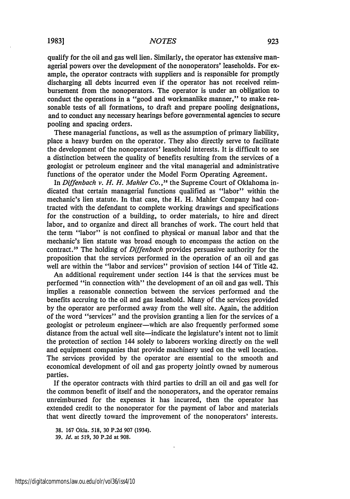qualify for the oil and gas well lien. Similarly, the operator has extensive managerial powers over the development of the nonoperators' leaseholds. For example, the operator contracts with suppliers and is responsible for promptly discharging all debts incurred even if the operator has not received reimbursement from the nonoperators. The operator is under an obligation to conduct the operations in a "good and workmanlike manner," to make reasonable tests of all formations, to draft and prepare pooling designations, and to conduct any necessary hearings before governmental agencies to secure pooling and spacing orders.

These managerial functions, as well as the assumption of primary liability, place a heavy burden on the operator. They also directly serve to facilitate the development of the nonoperators' leasehold interests. It is difficult to see a distinction between the quality of benefits resulting from the services of a geologist or petroleum engineer and the vital managerial and administrative functions of the operator under the Model Form Operating Agreement.

In *Diffenbach v. H. H. Mahler Co.*,<sup>38</sup> the Supreme Court of Oklahoma indicated that certain managerial functions qualified as "labor" within the mechanic's lien statute. In that case, the H. H. Mahler Company had contracted with the defendant to complete working drawings and specifications for the construction of a building, to order materials, to hire and direct labor, and to organize and direct all branches of work. The court held that the term "labor" is not confined to physical or manual labor and that the mechanic's lien statute was broad enough to encompass the action on the contract.<sup>39</sup> The holding of *Diffenbach* provides persuasive authority for the proposition that the services performed in the operation of an oil and gas well are within the "labor and services" provision of section 144 of Title 42.

An additional requirement under section 144 is that the services must be performed "in connection with" the development of an oil and gas well. This implies a reasonable connection between the services performed and the benefits accruing to the oil and gas leasehold. Many of the services provided **by** the operator are performed away from the well site. Again, the addition of the word "services" and the provision granting a lien for the services of a geologist or petroleum engineer-which are also frequently performed some distance from the actual well site-indicate the legislature's intent not to limit the protection of section 144 solely to laborers working directly on the well and equipment companies that provide machinery used on the well location. The services provided by the operator are essential to the smooth and economical development of oil and gas property jointly owned by numerous parties.

If the operator contracts with third parties to drill an oil and gas well for the common benefit of itself and the nonoperators, and the operator remains unreimbursed for the expenses it has incurred, then the operator has extended credit to the nonoperator for the payment of labor and materials that went directly toward the improvement of the nonoperators' interests.

**<sup>38.</sup>** 167 Okla. 518, 30 P.2d 907 (1934).

**<sup>39.</sup>** *Id.* at 519, 30 P.2d at 908.